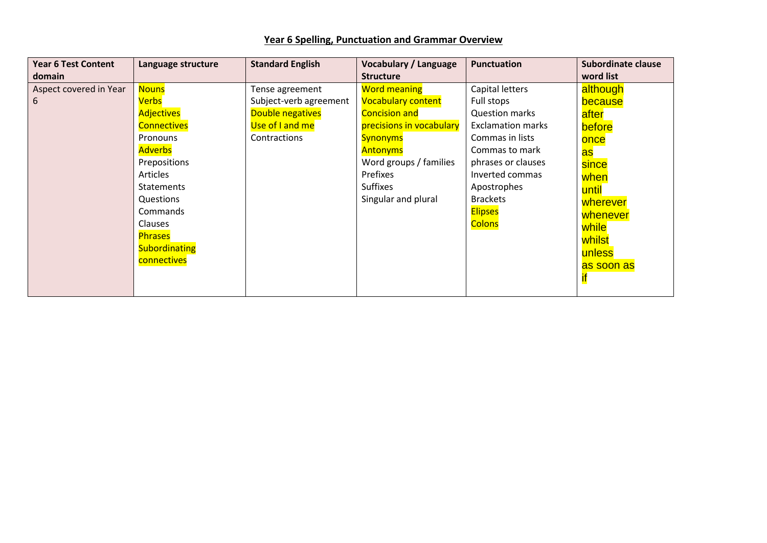|  |  | Year 6 Spelling, Punctuation and Grammar Overview |  |  |
|--|--|---------------------------------------------------|--|--|
|--|--|---------------------------------------------------|--|--|

| <b>Year 6 Test Content</b><br>domain | Language structure                                                                                                                                                                                                                                         | <b>Standard English</b>                                                                          | <b>Vocabulary / Language</b><br><b>Structure</b>                                                                                                                                                                           | <b>Punctuation</b>                                                                                                                                                                                                                    | <b>Subordinate clause</b><br>word list                                                                                                                   |
|--------------------------------------|------------------------------------------------------------------------------------------------------------------------------------------------------------------------------------------------------------------------------------------------------------|--------------------------------------------------------------------------------------------------|----------------------------------------------------------------------------------------------------------------------------------------------------------------------------------------------------------------------------|---------------------------------------------------------------------------------------------------------------------------------------------------------------------------------------------------------------------------------------|----------------------------------------------------------------------------------------------------------------------------------------------------------|
| Aspect covered in Year<br>6          | <b>Nouns</b><br><u>Verbs</u><br><b>Adjectives</b><br><b>Connectives</b><br>Pronouns<br><b>Adverbs</b><br>Prepositions<br>Articles<br><b>Statements</b><br>Questions<br>Commands<br><b>Clauses</b><br><b>Phrases</b><br><b>Subordinating</b><br>connectives | Tense agreement<br>Subject-verb agreement<br>Double negatives<br>Use of I and me<br>Contractions | <b>Word meaning</b><br><b>Vocabulary content</b><br><b>Concision and</b><br>precisions in vocabulary<br><b>Synonyms</b><br><b>Antonyms</b><br>Word groups / families<br>Prefixes<br><b>Suffixes</b><br>Singular and plural | Capital letters<br>Full stops<br><b>Question marks</b><br><b>Exclamation marks</b><br>Commas in lists<br>Commas to mark<br>phrases or clauses<br>Inverted commas<br>Apostrophes<br><b>Brackets</b><br><b>Elipses</b><br><b>Colons</b> | although<br>because<br>after<br>before<br>once<br><u>as</u><br>since<br>when<br>until<br>wherever<br>whenever<br>while<br>whilst<br>unless<br>as soon as |